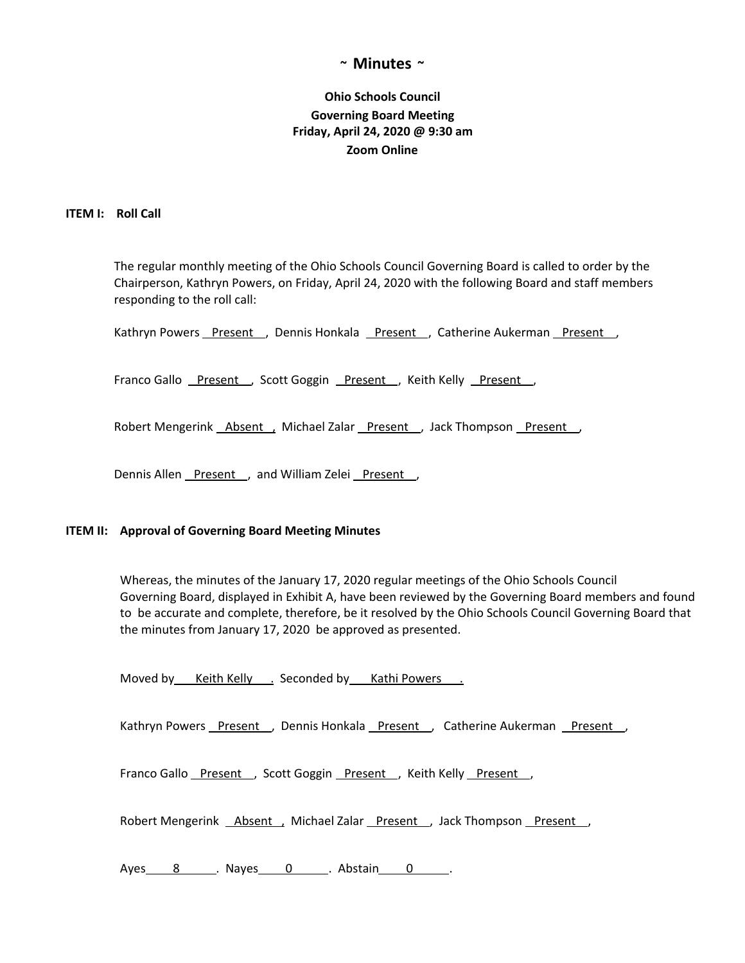## **~ Minutes ~**

# **Ohio Schools Council Governing Board Meeting Friday, April 24, 2020 @ 9:30 am Zoom Online**

### **ITEM I: Roll Call**

The regular monthly meeting of the Ohio Schools Council Governing Board is called to order by the Chairperson, Kathryn Powers, on Friday, April 24, 2020 with the following Board and staff members responding to the roll call:

Kathryn Powers Present , Dennis Honkala Present , Catherine Aukerman Present ,

Franco Gallo Present , Scott Goggin Present , Keith Kelly Present,

Robert Mengerink Absent , Michael Zalar Present , Jack Thompson Present

Dennis Allen Present, and William Zelei Present,

#### **ITEM II: Approval of Governing Board Meeting Minutes**

Whereas, the minutes of the January 17, 2020 regular meetings of the Ohio Schools Council Governing Board, displayed in Exhibit A, have been reviewed by the Governing Board members and found to be accurate and complete, therefore, be it resolved by the Ohio Schools Council Governing Board that the minutes from January 17, 2020 be approved as presented.

Moved by Keith Kelly . Seconded by Kathi Powers .

Kathryn Powers Present , Dennis Honkala Present , Catherine Aukerman Present ,

Franco Gallo Present , Scott Goggin Present , Keith Kelly Present,

Robert Mengerink \_\_ Absent \_, Michael Zalar \_\_ Present \_\_, Jack Thompson \_\_ Present \_\_,

Ayes 8 . Nayes 0 . Abstain 0 .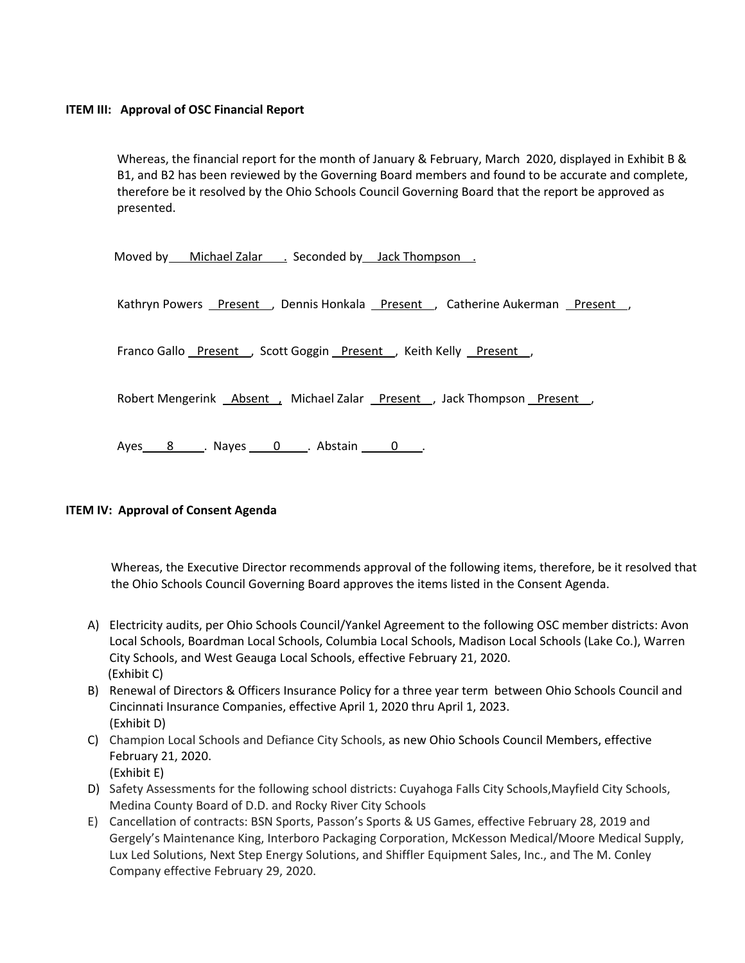## **ITEM III: Approval of OSC Financial Report**

Whereas, the financial report for the month of January & February, March 2020, displayed in Exhibit B & B1, and B2 has been reviewed by the Governing Board members and found to be accurate and complete, therefore be it resolved by the Ohio Schools Council Governing Board that the report be approved as presented.

Moved by Michael Zalar . Seconded by Jack Thompson .

Kathryn Powers Present , Dennis Honkala Present , Catherine Aukerman Present ,

Franco Gallo Present , Scott Goggin Present , Keith Kelly Present,

Robert Mengerink **Absent, Michael Zalar Present**, Jack Thompson Present,

Ayes 8 . Nayes 0 . Abstain 0 .

## **ITEM IV: Approval of Consent Agenda**

Whereas, the Executive Director recommends approval of the following items, therefore, be it resolved that the Ohio Schools Council Governing Board approves the items listed in the Consent Agenda.

- A) Electricity audits, per Ohio Schools Council/Yankel Agreement to the following OSC member districts: Avon Local Schools, Boardman Local Schools, Columbia Local Schools, Madison Local Schools (Lake Co.), Warren City Schools, and West Geauga Local Schools, effective February 21, 2020. (Exhibit C)
- B) Renewal of Directors & Officers Insurance Policy for a three year term between Ohio Schools Council and Cincinnati Insurance Companies, effective April 1, 2020 thru April 1, 2023. (Exhibit D)
- C) Champion Local Schools and Defiance City Schools, as new Ohio Schools Council Members, effective February 21, 2020. (Exhibit E)
- D) Safety Assessments for the following school districts: Cuyahoga Falls City Schools,Mayfield City Schools, Medina County Board of D.D. and Rocky River City Schools
- E) Cancellation of contracts: BSN Sports, Passon's Sports & US Games, effective February 28, 2019 and Gergely's Maintenance King, Interboro Packaging Corporation, McKesson Medical/Moore Medical Supply, Lux Led Solutions, Next Step Energy Solutions, and Shiffler Equipment Sales, Inc., and The M. Conley Company effective February 29, 2020.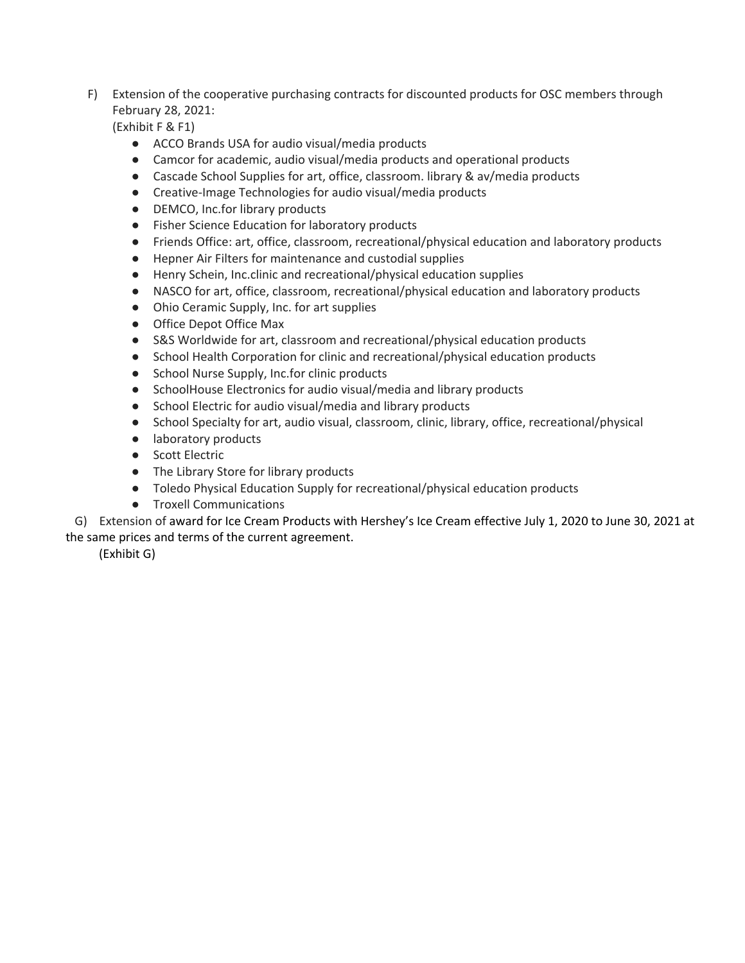F) Extension of the cooperative purchasing contracts for discounted products for OSC members through February 28, 2021:

(Exhibit F & F1)

- ACCO Brands USA for audio visual/media products
- Camcor for academic, audio visual/media products and operational products
- Cascade School Supplies for art, office, classroom. library & av/media products
- Creative-Image Technologies for audio visual/media products
- DEMCO, Inc.for library products
- Fisher Science Education for laboratory products
- Friends Office: art, office, classroom, recreational/physical education and laboratory products
- Hepner Air Filters for maintenance and custodial supplies
- Henry Schein, Inc.clinic and recreational/physical education supplies
- NASCO for art, office, classroom, recreational/physical education and laboratory products
- Ohio Ceramic Supply, Inc. for art supplies
- Office Depot Office Max
- S&S Worldwide for art, classroom and recreational/physical education products
- School Health Corporation for clinic and recreational/physical education products
- School Nurse Supply, Inc.for clinic products
- SchoolHouse Electronics for audio visual/media and library products
- School Electric for audio visual/media and library products
- School Specialty for art, audio visual, classroom, clinic, library, office, recreational/physical
- laboratory products
- Scott Electric
- The Library Store for library products
- Toledo Physical Education Supply for recreational/physical education products
- Troxell Communications

G) Extension of award for Ice Cream Products with Hershey's Ice Cream effective July 1, 2020 to June 30, 2021 at the same prices and terms of the current agreement.

(Exhibit G)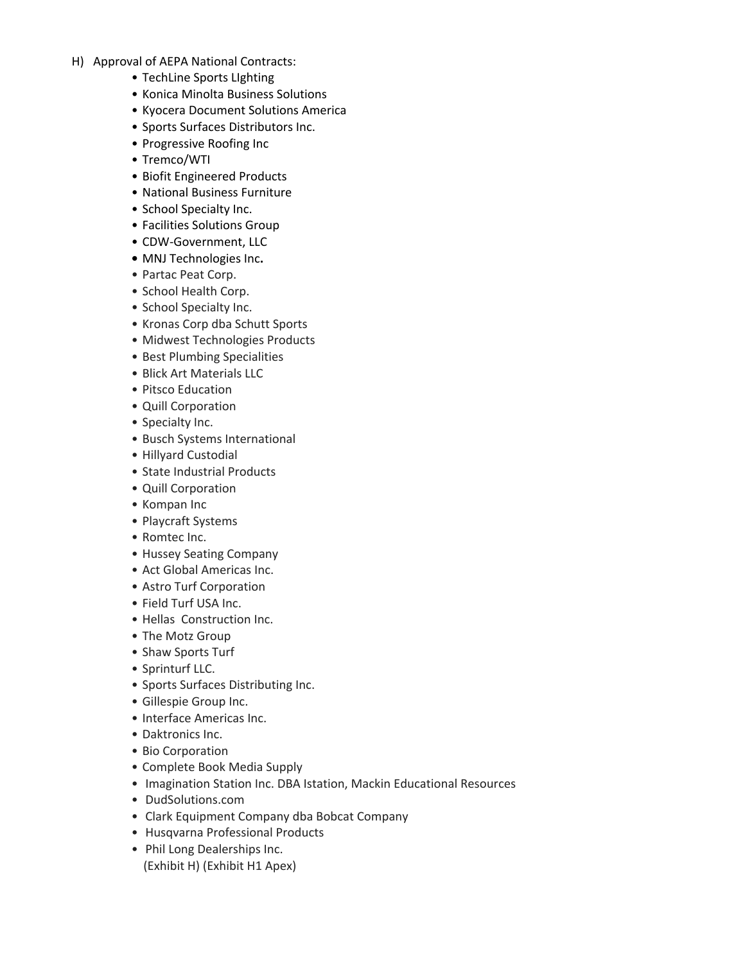- H) Approval of AEPA National Contracts:
	- TechLine Sports LIghting
	- Konica Minolta Business Solutions
	- Kyocera Document Solutions America
	- Sports Surfaces Distributors Inc.
	- Progressive Roofing Inc
	- Tremco/WTI
	- Biofit Engineered Products
	- National Business Furniture
	- School Specialty Inc.
	- Facilities Solutions Group
	- CDW-Government, LLC
	- **•** MNJ Technologies Inc**.**
	- Partac Peat Corp.
	- School Health Corp.
	- School Specialty Inc.
	- Kronas Corp dba Schutt Sports
	- Midwest Technologies Products
	- Best Plumbing Specialities
	- Blick Art Materials LLC
	- Pitsco Education
	- Quill Corporation
	- Specialty Inc.
	- Busch Systems International
	- Hillyard Custodial
	- State Industrial Products
	- Quill Corporation
	- Kompan Inc
	- Playcraft Systems
	- Romtec Inc.
	- Hussey Seating Company
	- Act Global Americas Inc.
	- Astro Turf Corporation
	- Field Turf USA Inc.
	- Hellas Construction Inc.
	- The Motz Group
	- Shaw Sports Turf
	- Sprinturf LLC.
	- Sports Surfaces Distributing Inc.
	- Gillespie Group Inc.
	- Interface Americas Inc.
	- Daktronics Inc.
	- Bio Corporation
	- Complete Book Media Supply
	- Imagination Station Inc. DBA Istation, Mackin Educational Resources
	- DudSolutions.com
	- Clark Equipment Company dba Bobcat Company
	- Husqvarna Professional Products
	- Phil Long Dealerships Inc. (Exhibit H) (Exhibit H1 Apex)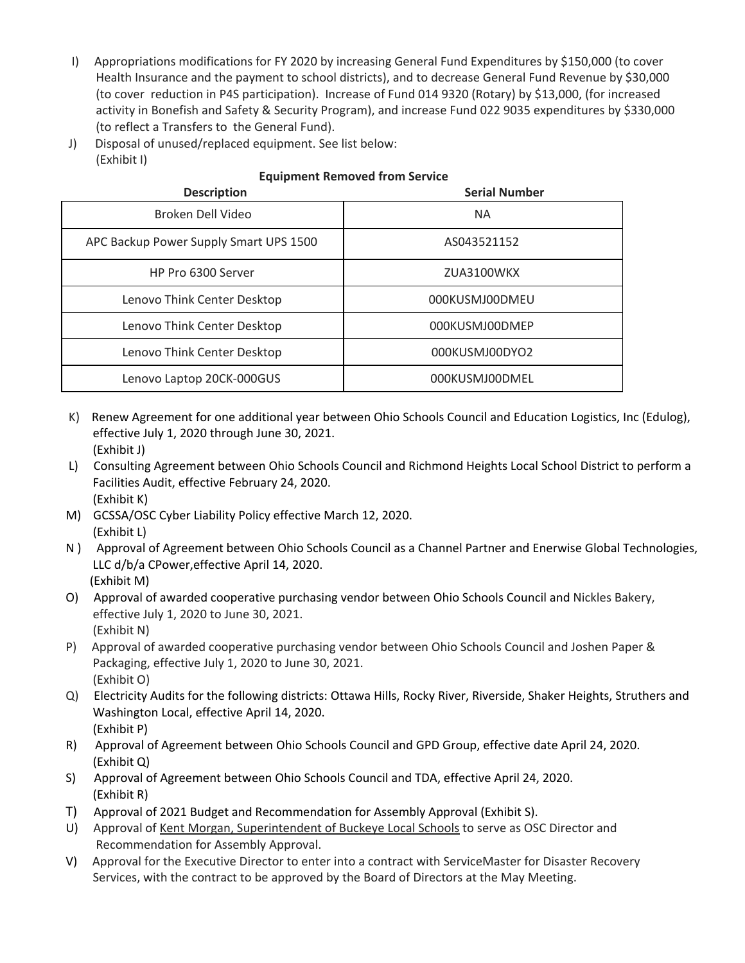- I) Appropriations modifications for FY 2020 by increasing General Fund Expenditures by \$150,000 (to cover Health Insurance and the payment to school districts), and to decrease General Fund Revenue by \$30,000 (to cover reduction in P4S participation). Increase of Fund 014 9320 (Rotary) by \$13,000, (for increased activity in Bonefish and Safety & Security Program), and increase Fund 022 9035 expenditures by \$330,000 (to reflect a Transfers to the General Fund).
- J) Disposal of unused/replaced equipment. See list below: (Exhibit I)

## **Equipment Removed from Service**

| <b>Description</b>                     | <b>Serial Number</b> |
|----------------------------------------|----------------------|
| Broken Dell Video                      | <b>NA</b>            |
| APC Backup Power Supply Smart UPS 1500 | AS043521152          |
| HP Pro 6300 Server                     | ZUA3100WKX           |
| Lenovo Think Center Desktop            | 000KUSMJ00DMEU       |
| Lenovo Think Center Desktop            | 000KUSMJ00DMEP       |
| Lenovo Think Center Desktop            | 000KUSMJ00DYO2       |
| Lenovo Laptop 20CK-000GUS              | 000KUSMJ00DMEL       |

- K) Renew Agreement for one additional year between Ohio Schools Council and Education Logistics, Inc (Edulog), effective July 1, 2020 through June 30, 2021. (Exhibit J)
- L) Consulting Agreement between Ohio Schools Council and Richmond Heights Local School District to perform a Facilities Audit, effective February 24, 2020. (Exhibit K)
- M) GCSSA/OSC Cyber Liability Policy effective March 12, 2020. (Exhibit L)
- N ) Approval of Agreement between Ohio Schools Council as a Channel Partner and Enerwise Global Technologies, LLC d/b/a CPower,effective April 14, 2020. (Exhibit M)
- O) Approval of awarded cooperative purchasing vendor between Ohio Schools Council and Nickles Bakery, effective July 1, 2020 to June 30, 2021. (Exhibit N)
- P) Approval of awarded cooperative purchasing vendor between Ohio Schools Council and Joshen Paper & Packaging, effective July 1, 2020 to June 30, 2021. (Exhibit O)
- Q) Electricity Audits for the following districts: Ottawa Hills, Rocky River, Riverside, Shaker Heights, Struthers and Washington Local, effective April 14, 2020. (Exhibit P)
- R) Approval of Agreement between Ohio Schools Council and GPD Group, effective date April 24, 2020. (Exhibit Q)
- S) Approval of Agreement between Ohio Schools Council and TDA, effective April 24, 2020. (Exhibit R)
- T) Approval of 2021 Budget and Recommendation for Assembly Approval (Exhibit S).
- U) Approval of Kent Morgan, Superintendent of Buckeye Local Schools to serve as OSC Director and Recommendation for Assembly Approval.
- V) Approval for the Executive Director to enter into a contract with ServiceMaster for Disaster Recovery Services, with the contract to be approved by the Board of Directors at the May Meeting.